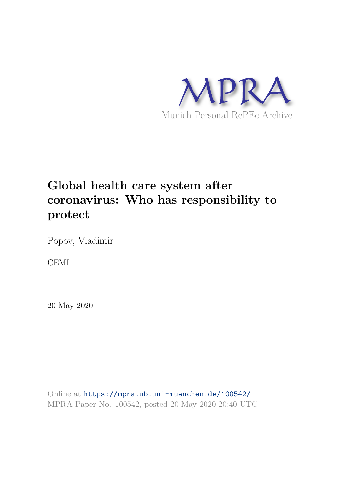

# **Global health care system after coronavirus: Who has responsibility to protect**

Popov, Vladimir

CEMI

20 May 2020

Online at https://mpra.ub.uni-muenchen.de/100542/ MPRA Paper No. 100542, posted 20 May 2020 20:40 UTC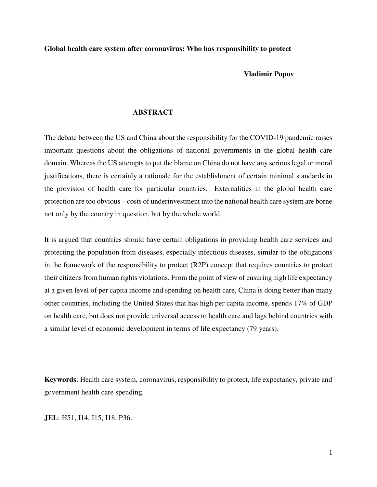**Global health care system after coronavirus: Who has responsibility to protect** 

#### **Vladimir Popov**

#### **ABSTRACT**

The debate between the US and China about the responsibility for the COVID-19 pandemic raises important questions about the obligations of national governments in the global health care domain. Whereas the US attempts to put the blame on China do not have any serious legal or moral justifications, there is certainly a rationale for the establishment of certain minimal standards in the provision of health care for particular countries. Externalities in the global health care protection are too obvious – costs of underinvestment into the national health care system are borne not only by the country in question, but by the whole world.

It is argued that countries should have certain obligations in providing health care services and protecting the population from diseases, especially infectious diseases, similar to the obligations in the framework of the responsibility to protect (R2P) concept that requires countries to protect their citizens from human rights violations. From the point of view of ensuring high life expectancy at a given level of per capita income and spending on health care, China is doing better than many other countries, including the United States that has high per capita income, spends 17% of GDP on health care, but does not provide universal access to health care and lags behind countries with a similar level of economic development in terms of life expectancy (79 years).

**Keywords**: Health care system, coronavirus, responsibility to protect, life expectancy, private and government health care spending.

**JEL**: H51, I14, I15, I18, P36.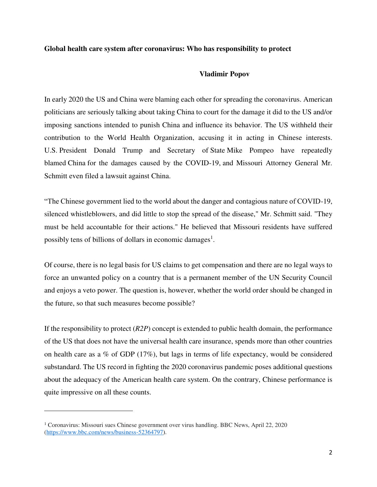#### **Global health care system after coronavirus: Who has responsibility to protect**

#### **Vladimir Popov**

In early 2020 the US and China were blaming each other for spreading the coronavirus. American politicians are seriously talking about taking China to court for the damage it did to the US and/or imposing sanctions intended to punish China and influence its behavior. The US withheld their contribution to the World Health Organization, accusing it in acting in Chinese interests. U.S. President Donald Trump and Secretary of State Mike Pompeo have repeatedly blamed China for the damages caused by the COVID-19, and Missouri Attorney General Mr. Schmitt even filed a lawsuit against China.

"The Chinese government lied to the world about the danger and contagious nature of COVID-19, silenced whistleblowers, and did little to stop the spread of the disease," Mr. Schmitt said. "They must be held accountable for their actions." He believed that Missouri residents have suffered possibly tens of billions of dollars in economic damages<sup>1</sup>.

Of course, there is no legal basis for US claims to get compensation and there are no legal ways to force an unwanted policy on a country that is a permanent member of the UN Security Council and enjoys a veto power. The question is, however, whether the world order should be changed in the future, so that such measures become possible?

If the responsibility to protect (*R2P*) concept is extended to public health domain, the performance of the US that does not have the universal health care insurance, spends more than other countries on health care as a % of GDP (17%), but lags in terms of life expectancy, would be considered substandard. The US record in fighting the 2020 coronavirus pandemic poses additional questions about the adequacy of the American health care system. On the contrary, Chinese performance is quite impressive on all these counts.

 $\overline{\phantom{0}}$ 

<sup>1</sup> Coronavirus: Missouri sues Chinese government over virus handling. BBC News, April 22, 2020 [\(https://www.bbc.com/news/business-52364797\)](https://www.bbc.com/news/business-52364797).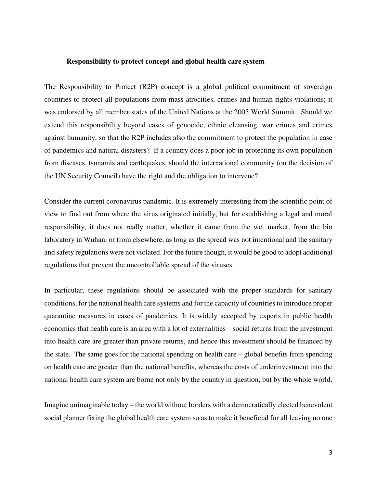#### **Responsibility to protect concept and global health care system**

The Responsibility to Protect (R2P) concept is a global political commitment of sovereign countries to protect all populations from mass atrocities, crimes and human rights violations; it was endorsed by all member states of the United Nations at the 2005 World Summit. Should we extend this responsibility beyond cases of genocide, ethnic cleansing, war crimes and crimes against humanity, so that the R2P includes also the commitment to protect the population in case of pandemics and natural disasters? If a country does a poor job in protecting its own population from diseases, tsunamis and earthquakes, should the international community (on the decision of the UN Security Council) have the right and the obligation to intervene?

Consider the current coronavirus pandemic. It is extremely interesting from the scientific point of view to find out from where the virus originated initially, but for establishing a legal and moral responsibility, it does not really matter, whether it came from the wet market, from the bio laboratory in Wuhan, or from elsewhere, as long as the spread was not intentional and the sanitary and safety regulations were not violated. For the future though, it would be good to adopt additional regulations that prevent the uncontrollable spread of the viruses.

In particular, these regulations should be associated with the proper standards for sanitary conditions, for the national health care systems and for the capacity of countries to introduce proper quarantine measures in cases of pandemics. It is widely accepted by experts in public health economics that health care is an area with a lot of externalities – social returns from the investment into health care are greater than private returns, and hence this investment should be financed by the state. The same goes for the national spending on health care – global benefits from spending on health care are greater than the national benefits, whereas the costs of underinvestment into the national health care system are borne not only by the country in question, but by the whole world.

Imagine unimaginable today – the world without borders with a democratically elected benevolent social planner fixing the global health care system so as to make it beneficial for all leaving no one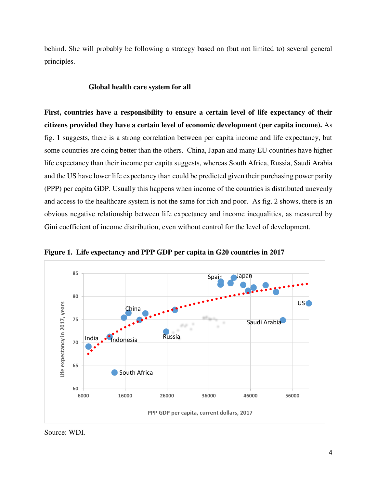behind. She will probably be following a strategy based on (but not limited to) several general principles.

#### **Global health care system for all**

**First, countries have a responsibility to ensure a certain level of life expectancy of their citizens provided they have a certain level of economic development (per capita income).** As fig. 1 suggests, there is a strong correlation between per capita income and life expectancy, but some countries are doing better than the others. China, Japan and many EU countries have higher life expectancy than their income per capita suggests, whereas South Africa, Russia, Saudi Arabia and the US have lower life expectancy than could be predicted given their purchasing power parity (PPP) per capita GDP. Usually this happens when income of the countries is distributed unevenly and access to the healthcare system is not the same for rich and poor. As fig. 2 shows, there is an obvious negative relationship between life expectancy and income inequalities, as measured by Gini coefficient of income distribution, even without control for the level of development.



**Figure 1. Life expectancy and PPP GDP per capita in G20 countries in 2017** 

Source: WDI.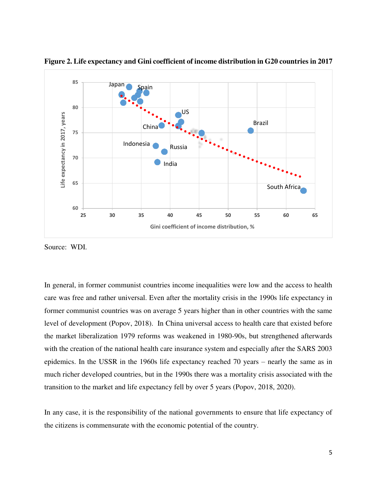

**Figure 2. Life expectancy and Gini coefficient of income distribution in G20 countries in 2017** 

Source: WDI.

In general, in former communist countries income inequalities were low and the access to health care was free and rather universal. Even after the mortality crisis in the 1990s life expectancy in former communist countries was on average 5 years higher than in other countries with the same level of development (Popov, 2018). In China universal access to health care that existed before the market liberalization 1979 reforms was weakened in 1980-90s, but strengthened afterwards with the creation of the national health care insurance system and especially after the SARS 2003 epidemics. In the USSR in the 1960s life expectancy reached 70 years – nearly the same as in much richer developed countries, but in the 1990s there was a mortality crisis associated with the transition to the market and life expectancy fell by over 5 years (Popov, 2018, 2020).

In any case, it is the responsibility of the national governments to ensure that life expectancy of the citizens is commensurate with the economic potential of the country.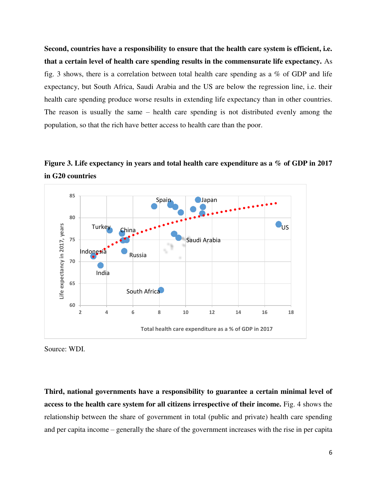**Second, countries have a responsibility to ensure that the health care system is efficient, i.e. that a certain level of health care spending results in the commensurate life expectancy.** As fig. 3 shows, there is a correlation between total health care spending as a  $\%$  of GDP and life expectancy, but South Africa, Saudi Arabia and the US are below the regression line, i.e. their health care spending produce worse results in extending life expectancy than in other countries. The reason is usually the same – health care spending is not distributed evenly among the population, so that the rich have better access to health care than the poor.

**Figure 3. Life expectancy in years and total health care expenditure as a % of GDP in 2017 in G20 countries** 



Source: WDI.

**Third, national governments have a responsibility to guarantee a certain minimal level of access to the health care system for all citizens irrespective of their income.** Fig. 4 shows the relationship between the share of government in total (public and private) health care spending and per capita income – generally the share of the government increases with the rise in per capita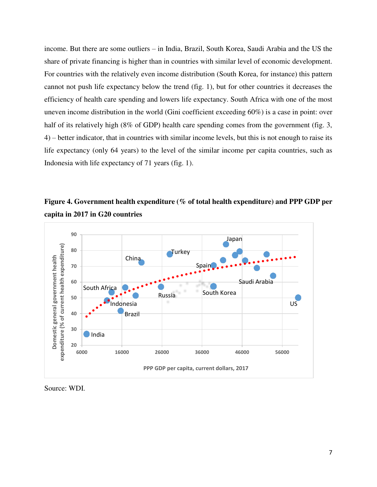income. But there are some outliers – in India, Brazil, South Korea, Saudi Arabia and the US the share of private financing is higher than in countries with similar level of economic development. For countries with the relatively even income distribution (South Korea, for instance) this pattern cannot not push life expectancy below the trend (fig. 1), but for other countries it decreases the efficiency of health care spending and lowers life expectancy. South Africa with one of the most uneven income distribution in the world (Gini coefficient exceeding 60%) is a case in point: over half of its relatively high (8% of GDP) health care spending comes from the government (fig. 3, 4) – better indicator, that in countries with similar income levels, but this is not enough to raise its life expectancy (only 64 years) to the level of the similar income per capita countries, such as Indonesia with life expectancy of 71 years (fig. 1).





Source: WDI.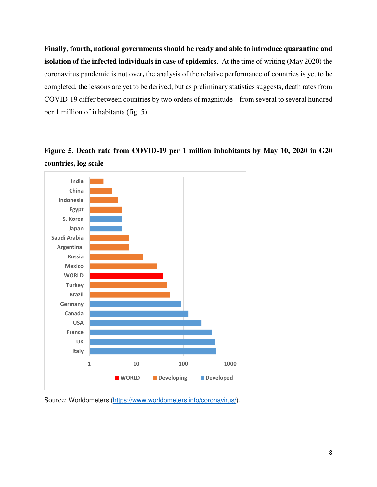**Finally, fourth, national governments should be ready and able to introduce quarantine and isolation of the infected individuals in case of epidemics**. At the time of writing (May 2020) the coronavirus pandemic is not over**,** the analysis of the relative performance of countries is yet to be completed, the lessons are yet to be derived, but as preliminary statistics suggests, death rates from COVID-19 differ between countries by two orders of magnitude – from several to several hundred per 1 million of inhabitants (fig. 5).

## **Figure 5. Death rate from COVID-19 per 1 million inhabitants by May 10, 2020 in G20 countries, log scale**



Source: Worldometers [\(https://www.worldometers.info/coronavirus/\)](https://www.worldometers.info/coronavirus/).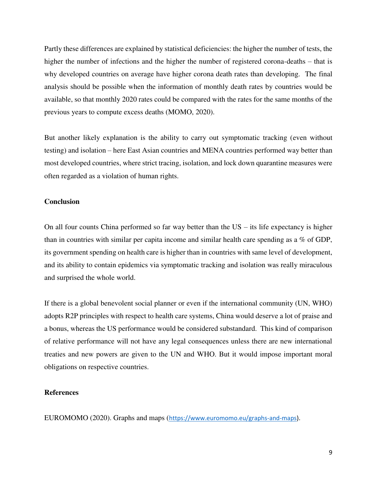Partly these differences are explained by statistical deficiencies: the higher the number of tests, the higher the number of infections and the higher the number of registered corona-deaths – that is why developed countries on average have higher corona death rates than developing. The final analysis should be possible when the information of monthly death rates by countries would be available, so that monthly 2020 rates could be compared with the rates for the same months of the previous years to compute excess deaths (MOMO, 2020).

But another likely explanation is the ability to carry out symptomatic tracking (even without testing) and isolation – here East Asian countries and MENA countries performed way better than most developed countries, where strict tracing, isolation, and lock down quarantine measures were often regarded as a violation of human rights.

#### **Conclusion**

On all four counts China performed so far way better than the US – its life expectancy is higher than in countries with similar per capita income and similar health care spending as a % of GDP, its government spending on health care is higher than in countries with same level of development, and its ability to contain epidemics via symptomatic tracking and isolation was really miraculous and surprised the whole world.

If there is a global benevolent social planner or even if the international community (UN, WHO) adopts R2P principles with respect to health care systems, China would deserve a lot of praise and a bonus, whereas the US performance would be considered substandard. This kind of comparison of relative performance will not have any legal consequences unless there are new international treaties and new powers are given to the UN and WHO. But it would impose important moral obligations on respective countries.

### **References**

EUROMOMO (2020). Graphs and maps ([https://www.euromomo.eu/graphs-and-maps\)](https://www.euromomo.eu/graphs-and-maps).